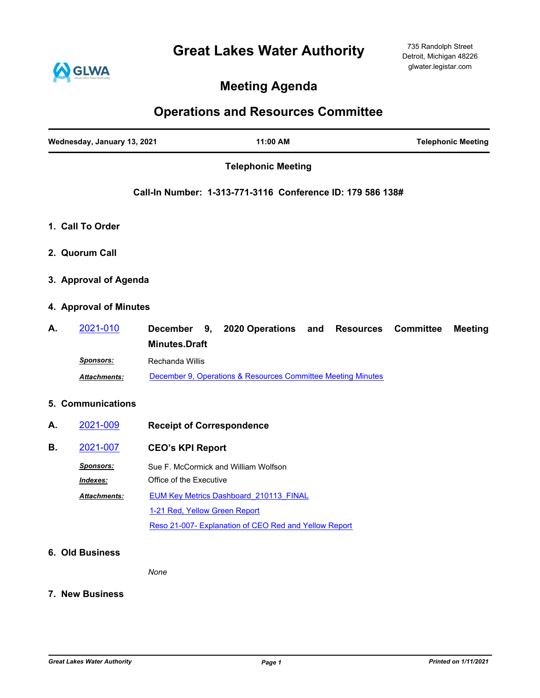# **Great Lakes Water Authority**



### **Meeting Agenda**

## **Operations and Resources Committee**

| <b>Telephonic Meeting</b><br>Call-In Number: 1-313-771-3116 Conference ID: 179 586 138#<br>1. Call To Order<br>2. Quorum Call<br>3. Approval of Agenda<br>2021-010<br><b>2020 Operations</b><br><b>Committee</b><br>December 9,<br>and<br><b>Resources</b><br><b>Minutes.Draft</b><br><b>Sponsors:</b><br>Rechanda Willis<br>December 9, Operations & Resources Committee Meeting Minutes<br>Attachments:<br>2021-009<br><b>Receipt of Correspondence</b><br>2021-007<br><b>CEO's KPI Report</b><br>Sponsors:<br>Sue F. McCormick and William Wolfson<br>Office of the Executive<br>Indexes:<br><b>EUM Key Metrics Dashboard 210113 FINAL</b><br>Attachments:<br>1-21 Red, Yellow Green Report<br>Reso 21-007- Explanation of CEO Red and Yellow Report | Wednesday, January 13, 2021 | 11:00 AM<br><b>Telephonic Meeting</b> |
|---------------------------------------------------------------------------------------------------------------------------------------------------------------------------------------------------------------------------------------------------------------------------------------------------------------------------------------------------------------------------------------------------------------------------------------------------------------------------------------------------------------------------------------------------------------------------------------------------------------------------------------------------------------------------------------------------------------------------------------------------------|-----------------------------|---------------------------------------|
|                                                                                                                                                                                                                                                                                                                                                                                                                                                                                                                                                                                                                                                                                                                                                         |                             |                                       |
|                                                                                                                                                                                                                                                                                                                                                                                                                                                                                                                                                                                                                                                                                                                                                         |                             |                                       |
|                                                                                                                                                                                                                                                                                                                                                                                                                                                                                                                                                                                                                                                                                                                                                         |                             |                                       |
|                                                                                                                                                                                                                                                                                                                                                                                                                                                                                                                                                                                                                                                                                                                                                         |                             |                                       |
| 4. Approval of Minutes<br>А.<br>5. Communications<br>А.<br>В.                                                                                                                                                                                                                                                                                                                                                                                                                                                                                                                                                                                                                                                                                           |                             |                                       |
|                                                                                                                                                                                                                                                                                                                                                                                                                                                                                                                                                                                                                                                                                                                                                         |                             |                                       |
|                                                                                                                                                                                                                                                                                                                                                                                                                                                                                                                                                                                                                                                                                                                                                         |                             | <b>Meeting</b>                        |
|                                                                                                                                                                                                                                                                                                                                                                                                                                                                                                                                                                                                                                                                                                                                                         |                             |                                       |
|                                                                                                                                                                                                                                                                                                                                                                                                                                                                                                                                                                                                                                                                                                                                                         |                             |                                       |
|                                                                                                                                                                                                                                                                                                                                                                                                                                                                                                                                                                                                                                                                                                                                                         |                             |                                       |
|                                                                                                                                                                                                                                                                                                                                                                                                                                                                                                                                                                                                                                                                                                                                                         |                             |                                       |
|                                                                                                                                                                                                                                                                                                                                                                                                                                                                                                                                                                                                                                                                                                                                                         |                             |                                       |
|                                                                                                                                                                                                                                                                                                                                                                                                                                                                                                                                                                                                                                                                                                                                                         |                             |                                       |
|                                                                                                                                                                                                                                                                                                                                                                                                                                                                                                                                                                                                                                                                                                                                                         |                             |                                       |
|                                                                                                                                                                                                                                                                                                                                                                                                                                                                                                                                                                                                                                                                                                                                                         |                             |                                       |
|                                                                                                                                                                                                                                                                                                                                                                                                                                                                                                                                                                                                                                                                                                                                                         |                             |                                       |
|                                                                                                                                                                                                                                                                                                                                                                                                                                                                                                                                                                                                                                                                                                                                                         |                             |                                       |
|                                                                                                                                                                                                                                                                                                                                                                                                                                                                                                                                                                                                                                                                                                                                                         | 6. Old Business             |                                       |
| None                                                                                                                                                                                                                                                                                                                                                                                                                                                                                                                                                                                                                                                                                                                                                    |                             |                                       |

**7. New Business**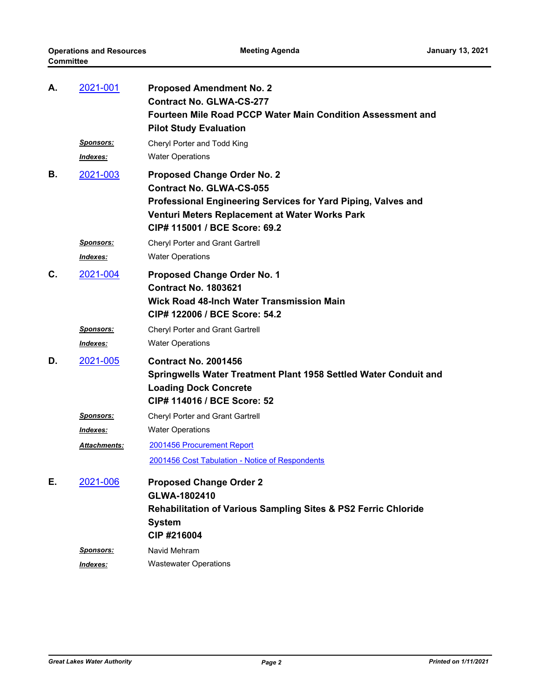| А. | <u>2021-001</u>              | <b>Proposed Amendment No. 2</b><br><b>Contract No. GLWA-CS-277</b><br>Fourteen Mile Road PCCP Water Main Condition Assessment and<br><b>Pilot Study Evaluation</b>                                                        |
|----|------------------------------|---------------------------------------------------------------------------------------------------------------------------------------------------------------------------------------------------------------------------|
|    | <u>Sponsors:</u><br>Indexes: | Cheryl Porter and Todd King<br><b>Water Operations</b>                                                                                                                                                                    |
| В. | 2021-003                     | <b>Proposed Change Order No. 2</b><br><b>Contract No. GLWA-CS-055</b><br>Professional Engineering Services for Yard Piping, Valves and<br>Venturi Meters Replacement at Water Works Park<br>CIP# 115001 / BCE Score: 69.2 |
|    | <u>Sponsors:</u><br>Indexes: | <b>Cheryl Porter and Grant Gartrell</b><br><b>Water Operations</b>                                                                                                                                                        |
| C. | 2021-004                     | <b>Proposed Change Order No. 1</b><br><b>Contract No. 1803621</b><br><b>Wick Road 48-Inch Water Transmission Main</b><br>CIP# 122006 / BCE Score: 54.2                                                                    |
|    | <u>Sponsors:</u><br>Indexes: | Cheryl Porter and Grant Gartrell<br><b>Water Operations</b>                                                                                                                                                               |
| D. | 2021-005                     | <b>Contract No. 2001456</b><br>Springwells Water Treatment Plant 1958 Settled Water Conduit and<br><b>Loading Dock Concrete</b><br>CIP# 114016 / BCE Score: 52                                                            |
|    | <u>Sponsors:</u>             | Cheryl Porter and Grant Gartrell                                                                                                                                                                                          |
|    | Indexes:                     | <b>Water Operations</b>                                                                                                                                                                                                   |
|    | Attachments:                 | 2001456 Procurement Report<br>2001456 Cost Tabulation - Notice of Respondents                                                                                                                                             |
| Е. | 2021-006                     | <b>Proposed Change Order 2</b><br>GLWA-1802410<br>Rehabilitation of Various Sampling Sites & PS2 Ferric Chloride<br><b>System</b><br>CIP #216004                                                                          |
|    | <u>Sponsors:</u><br>Indexes: | Navid Mehram<br><b>Wastewater Operations</b>                                                                                                                                                                              |